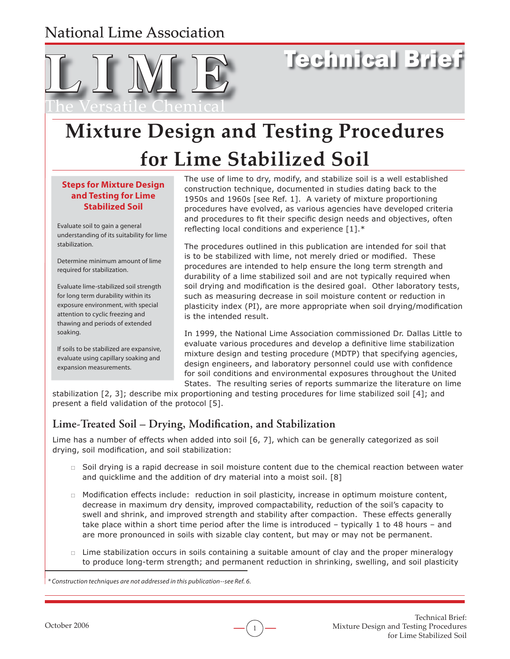## National Lime Association



# Technical Brief

## **Mixture Design and Testing Procedures for Lime Stabilized Soil or**

#### **Steps for Mixture Design and Testing for Lime Stabilized Soil**

Evaluate soil to gain a general understanding of its suitability for lime stabilization.

Determine minimum amount of lime required for stabilization.

Evaluate lime-stabilized soil strength for long term durability within its exposure environment, with special attention to cyclic freezing and thawing and periods of extended soaking.

If soils to be stabilized are expansive, evaluate using capillary soaking and expansion measurements.

The use of lime to dry, modify, and stabilize soil is a well established construction technique, documented in studies dating back to the 1950s and 1960s [see Ref. 1]. A variety of mixture proportioning procedures have evolved, as various agencies have developed criteria and procedures to fit their specific design needs and objectives, often reflecting local conditions and experience  $[1].*$ 

The procedures outlined in this publication are intended for soil that is to be stabilized with lime, not merely dried or modified. These procedures are intended to help ensure the long term strength and durability of a lime stabilized soil and are not typically required when soil drying and modification is the desired goal. Other laboratory tests, such as measuring decrease in soil moisture content or reduction in plasticity index (PI), are more appropriate when soil drying/modification is the intended result.

In 1999, the National Lime Association commissioned Dr. Dallas Little to evaluate various procedures and develop a definitive lime stabilization mixture design and testing procedure (MDTP) that specifying agencies, design engineers, and laboratory personnel could use with confidence for soil conditions and environmental exposures throughout the United States. The resulting series of reports summarize the literature on lime

stabilization [2, 3]; describe mix proportioning and testing procedures for lime stabilized soil [4]; and present a field validation of the protocol [5].

## Lime-Treated Soil – Drying, Modification, and Stabilization

Lime has a number of effects when added into soil [6, 7], which can be generally categorized as soil drying, soil modification, and soil stabilization:

- $\Box$  Soil drying is a rapid decrease in soil moisture content due to the chemical reaction between water and quicklime and the addition of dry material into a moist soil. [8]
- $\Box$  Modification effects include: reduction in soil plasticity, increase in optimum moisture content, decrease in maximum dry density, improved compactability, reduction of the soil's capacity to swell and shrink, and improved strength and stability after compaction. These effects generally take place within a short time period after the lime is introduced – typically 1 to 48 hours – and are more pronounced in soils with sizable clay content, but may or may not be permanent.
- $\Box$  Lime stabilization occurs in soils containing a suitable amount of clay and the proper mineralogy to produce long-term strength; and permanent reduction in shrinking, swelling, and soil plasticity

1

<sup>\*</sup> Construction techniques are not addressed in this publication--see Ref. 6.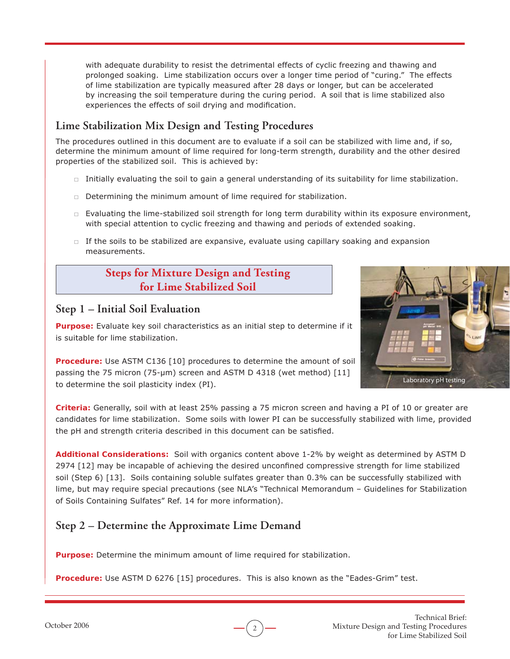with adequate durability to resist the detrimental effects of cyclic freezing and thawing and prolonged soaking. Lime stabilization occurs over a longer time period of "curing." The effects of lime stabilization are typically measured after 28 days or longer, but can be accelerated by increasing the soil temperature during the curing period. A soil that is lime stabilized also experiences the effects of soil drying and modification.

#### **Lime Stabilization Mix Design and Testing Procedures**

The procedures outlined in this document are to evaluate if a soil can be stabilized with lime and, if so, determine the minimum amount of lime required for long-term strength, durability and the other desired properties of the stabilized soil. This is achieved by:

- $\Box$  Initially evaluating the soil to gain a general understanding of its suitability for lime stabilization.
- $\Box$  Determining the minimum amount of lime required for stabilization.
- $\Box$  Evaluating the lime-stabilized soil strength for long term durability within its exposure environment, with special attention to cyclic freezing and thawing and periods of extended soaking.
- $\Box$  If the soils to be stabilized are expansive, evaluate using capillary soaking and expansion measurements.

## **Steps for Mixture Design and Testing for Lime Stabilized Soil**



#### **Step 1 – Initial Soil Evaluation**

**Purpose:** Evaluate key soil characteristics as an initial step to determine if it is suitable for lime stabilization.

**Procedure:** Use ASTM C136 [10] procedures to determine the amount of soil passing the 75 micron (75-μm) screen and ASTM D 4318 (wet method) [11] to determine the soil plasticity index (PI).

**Criteria:** Generally, soil with at least 25% passing a 75 micron screen and having a PI of 10 or greater are candidates for lime stabilization. Some soils with lower PI can be successfully stabilized with lime, provided the pH and strength criteria described in this document can be satisfied.

**Additional Considerations:** Soil with organics content above 1-2% by weight as determined by ASTM D 2974 [12] may be incapable of achieving the desired unconfined compressive strength for lime stabilized soil (Step 6) [13]. Soils containing soluble sulfates greater than 0.3% can be successfully stabilized with lime, but may require special precautions (see NLA's "Technical Memorandum – Guidelines for Stabilization of Soils Containing Sulfates" Ref. 14 for more information).

## **Step 2 – Determine the Approximate Lime Demand**

**Purpose:** Determine the minimum amount of lime required for stabilization.

**Procedure:** Use ASTM D 6276 [15] procedures. This is also known as the "Eades-Grim" test.

2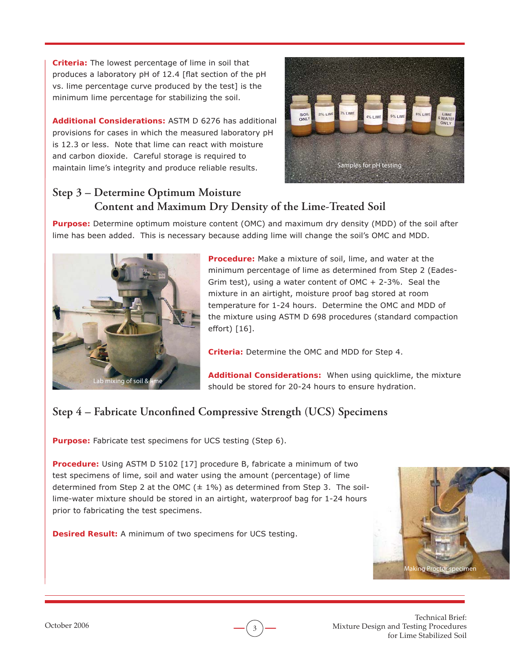**Criteria:** The lowest percentage of lime in soil that produces a laboratory pH of 12.4 [flat section of the pH vs. lime percentage curve produced by the test] is the minimum lime percentage for stabilizing the soil.

**Additional Considerations:** ASTM D 6276 has additional provisions for cases in which the measured laboratory pH is 12.3 or less. Note that lime can react with moisture and carbon dioxide. Careful storage is required to maintain lime's integrity and produce reliable results.



## **Step 3 – Determine Optimum Moisture Content and Maximum Dry Density of the Lime-Treated Soil**

**Purpose:** Determine optimum moisture content (OMC) and maximum dry density (MDD) of the soil after lime has been added. This is necessary because adding lime will change the soil's OMC and MDD.



**Procedure:** Make a mixture of soil, lime, and water at the minimum percentage of lime as determined from Step 2 (Eades-Grim test), using a water content of OMC + 2-3%. Seal the mixture in an airtight, moisture proof bag stored at room temperature for 1-24 hours. Determine the OMC and MDD of the mixture using ASTM D 698 procedures (standard compaction effort) [16].

**Criteria:** Determine the OMC and MDD for Step 4.

**Additional Considerations:** When using quicklime, the mixture should be stored for 20-24 hours to ensure hydration.

## Step 4 – Fabricate Unconfined Compressive Strength (UCS) Specimens

**Purpose:** Fabricate test specimens for UCS testing (Step 6).

**Procedure:** Using ASTM D 5102 [17] procedure B, fabricate a minimum of two test specimens of lime, soil and water using the amount (percentage) of lime determined from Step 2 at the OMC  $(± 1\%)$  as determined from Step 3. The soillime-water mixture should be stored in an airtight, waterproof bag for 1-24 hours prior to fabricating the test specimens.

3

**Desired Result:** A minimum of two specimens for UCS testing.



Technical Brief: Mixture Design and Testing Procedures for Lime Stabilized Soil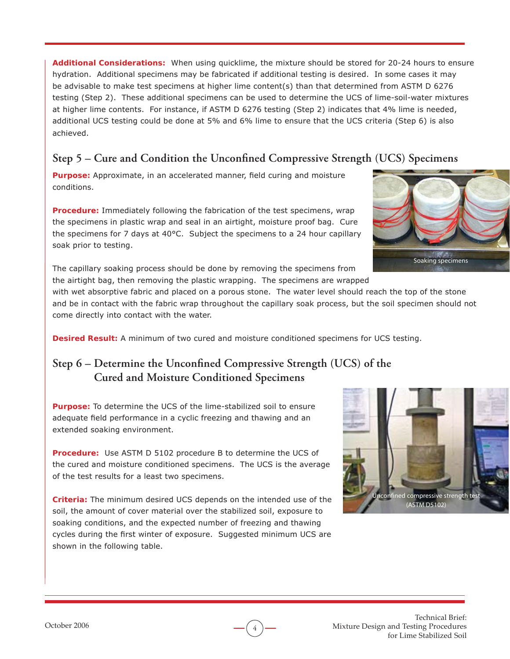**Additional Considerations:** When using quicklime, the mixture should be stored for 20-24 hours to ensure hydration. Additional specimens may be fabricated if additional testing is desired. In some cases it may be advisable to make test specimens at higher lime content(s) than that determined from ASTM D 6276 testing (Step 2). These additional specimens can be used to determine the UCS of lime-soil-water mixtures at higher lime contents. For instance, if ASTM D 6276 testing (Step 2) indicates that 4% lime is needed, additional UCS testing could be done at 5% and 6% lime to ensure that the UCS criteria (Step 6) is also achieved.

#### Step 5 – Cure and Condition the Unconfined Compressive Strength (UCS) Specimens

Purpose: Approximate, in an accelerated manner, field curing and moisture conditions.

**Procedure:** Immediately following the fabrication of the test specimens, wrap the specimens in plastic wrap and seal in an airtight, moisture proof bag. Cure the specimens for 7 days at 40°C. Subject the specimens to a 24 hour capillary soak prior to testing.

The capillary soaking process should be done by removing the specimens from the airtight bag, then removing the plastic wrapping. The specimens are wrapped

with wet absorptive fabric and placed on a porous stone. The water level should reach the top of the stone and be in contact with the fabric wrap throughout the capillary soak process, but the soil specimen should not come directly into contact with the water.

4

**Desired Result:** A minimum of two cured and moisture conditioned specimens for UCS testing.

#### **Step 6 – Determine the Unconfined Compressive Strength (UCS) of the Cured and Moisture Conditioned Specimens**

**Purpose:** To determine the UCS of the lime-stabilized soil to ensure adequate field performance in a cyclic freezing and thawing and an extended soaking environment.

**Procedure:** Use ASTM D 5102 procedure B to determine the UCS of the cured and moisture conditioned specimens. The UCS is the average of the test results for a least two specimens.

**Criteria:** The minimum desired UCS depends on the intended use of the soil, the amount of cover material over the stabilized soil, exposure to soaking conditions, and the expected number of freezing and thawing cycles during the first winter of exposure. Suggested minimum UCS are shown in the following table.



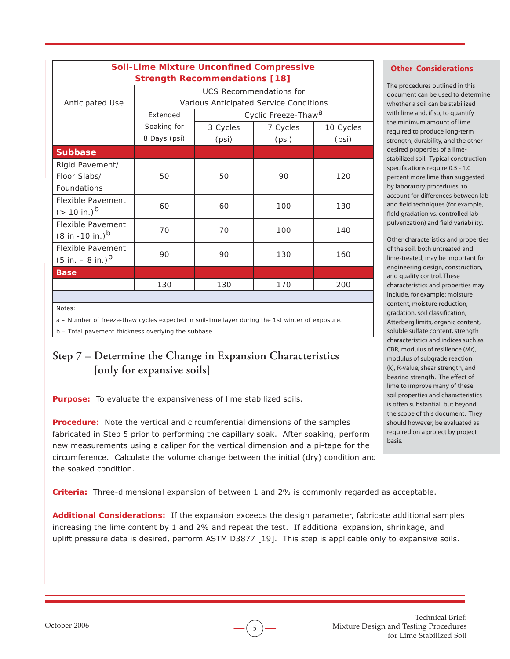| <b>Soil-Lime Mixture Unconfined Compressive</b> |                                        |                                 |          |           |
|-------------------------------------------------|----------------------------------------|---------------------------------|----------|-----------|
| <b>Strength Recommendations [18]</b>            |                                        |                                 |          |           |
|                                                 | <b>UCS</b> Recommendations for         |                                 |          |           |
| <b>Anticipated Use</b>                          | Various Anticipated Service Conditions |                                 |          |           |
|                                                 | Extended                               | Cyclic Freeze-Thaw <sup>a</sup> |          |           |
|                                                 | Soaking for                            | 3 Cycles                        | 7 Cycles | 10 Cycles |
|                                                 | 8 Days (psi)                           | (psi)                           | (psi)    | (psi)     |
| <b>Subbase</b>                                  |                                        |                                 |          |           |
| Rigid Pavement/                                 |                                        |                                 |          |           |
| Floor Slabs/                                    | 50                                     | 50                              | 90       | 120       |
| Foundations                                     |                                        |                                 |          |           |
| <b>Flexible Pavement</b>                        | 60                                     | 60                              | 100      | 130       |
| $(> 10 \text{ in.})^b$                          |                                        |                                 |          |           |
| Flexible Pavement                               | 70                                     | 70                              | 100      | 140       |
| $(8 in -10 in.)^b$                              |                                        |                                 |          |           |
| Flexible Pavement                               | 90                                     | 90                              | 130      | 160       |
| $(5 in. - 8 in.)^b$                             |                                        |                                 |          |           |
| <b>Base</b>                                     |                                        |                                 |          |           |
|                                                 | 130                                    | 130                             | 170      | 200       |
|                                                 |                                        |                                 |          |           |

*Notes:* 

*a – Number of freeze-thaw cycles expected in soil-lime layer during the 1st winter of exposure.*

*b – Total pavement thickness overlying the subbase.*

## **Step 7 – Determine the Change in Expansion Characteristics [only for expansive soils]**

**Purpose:** To evaluate the expansiveness of lime stabilized soils.

**Procedure:** Note the vertical and circumferential dimensions of the samples fabricated in Step 5 prior to performing the capillary soak. After soaking, perform new measurements using a caliper for the vertical dimension and a pi-tape for the circumference. Calculate the volume change between the initial (dry) condition and the soaked condition.

**Criteria:** Three-dimensional expansion of between 1 and 2% is commonly regarded as acceptable.

**Additional Considerations:** If the expansion exceeds the design parameter, fabricate additional samples increasing the lime content by 1 and 2% and repeat the test. If additional expansion, shrinkage, and uplift pressure data is desired, perform ASTM D3877 [19]. This step is applicable only to expansive soils.

5

#### **Other Considerations**

The procedures outlined in this document can be used to determine whether a soil can be stabilized with lime and, if so, to quantify the minimum amount of lime required to produce long-term strength, durability, and the other desired properties of a limestabilized soil. Typical construction specifications require 0.5 - 1.0 percent more lime than suggested by laboratory procedures, to account for differences between lab and field techniques (for example, field gradation vs. controlled lab pulverization) and field variability.

Other characteristics and properties of the soil, both untreated and lime-treated, may be important for engineering design, construction, and quality control. These characteristics and properties may include, for example: moisture content, moisture reduction, gradation, soil classification, Atterberg limits, organic content, soluble sulfate content, strength characteristics and indices such as CBR, modulus of resilience (Mr), modulus of subgrade reaction (k), R-value, shear strength, and bearing strength. The effect of lime to improve many of these soil properties and characteristics is often substantial, but beyond the scope of this document. They should however, be evaluated as required on a project by project basis.